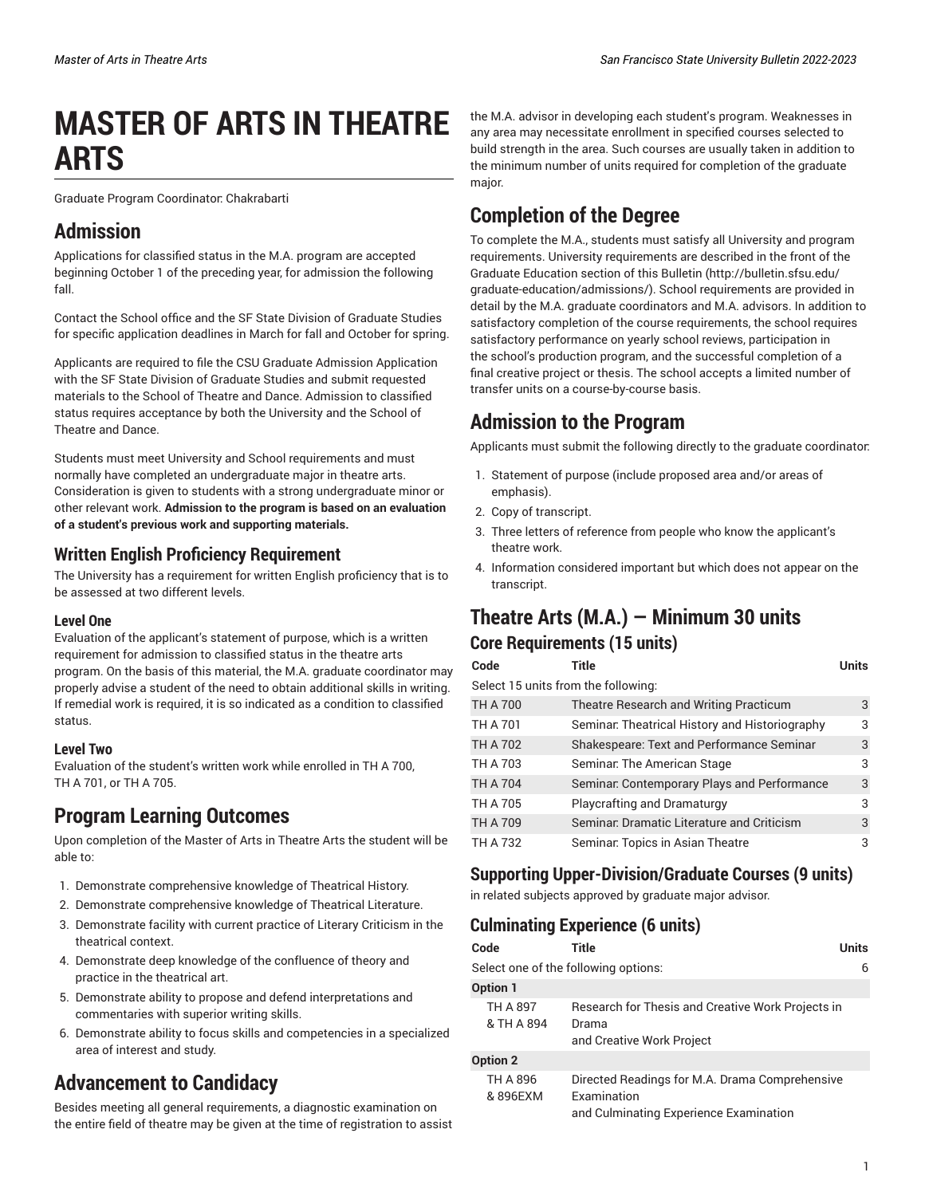# **MASTER OF ARTS IN THEATRE ARTS**

Graduate Program Coordinator: Chakrabarti

## **Admission**

Applications for classified status in the M.A. program are accepted beginning October 1 of the preceding year, for admission the following fall.

Contact the School office and the SF State Division of Graduate Studies for specific application deadlines in March for fall and October for spring.

Applicants are required to file the CSU Graduate Admission Application with the SF State Division of Graduate Studies and submit requested materials to the School of Theatre and Dance. Admission to classified status requires acceptance by both the University and the School of Theatre and Dance.

Students must meet University and School requirements and must normally have completed an undergraduate major in theatre arts. Consideration is given to students with a strong undergraduate minor or other relevant work. **Admission to the program is based on an evaluation of a student's previous work and supporting materials.**

#### **Written English Proficiency Requirement**

The University has a requirement for written English proficiency that is to be assessed at two different levels.

#### **Level One**

Evaluation of the applicant's statement of purpose, which is a written requirement for admission to classified status in the theatre arts program. On the basis of this material, the M.A. graduate coordinator may properly advise a student of the need to obtain additional skills in writing. If remedial work is required, it is so indicated as a condition to classified status.

#### **Level Two**

Evaluation of the student's written work while enrolled in TH A 700, TH A 701, or TH A 705.

### **Program Learning Outcomes**

Upon completion of the Master of Arts in Theatre Arts the student will be able to:

- 1. Demonstrate comprehensive knowledge of Theatrical History.
- 2. Demonstrate comprehensive knowledge of Theatrical Literature.
- 3. Demonstrate facility with current practice of Literary Criticism in the theatrical context.
- 4. Demonstrate deep knowledge of the confluence of theory and practice in the theatrical art.
- 5. Demonstrate ability to propose and defend interpretations and commentaries with superior writing skills.
- 6. Demonstrate ability to focus skills and competencies in a specialized area of interest and study.

# **Advancement to Candidacy**

Besides meeting all general requirements, a diagnostic examination on the entire field of theatre may be given at the time of registration to assist

the M.A. advisor in developing each student's program. Weaknesses in any area may necessitate enrollment in specified courses selected to build strength in the area. Such courses are usually taken in addition to the minimum number of units required for completion of the graduate major.

# **Completion of the Degree**

To complete the M.A., students must satisfy all University and program requirements. University requirements are described in the front of [the](http://bulletin.sfsu.edu/graduate-education/admissions/) Graduate [Education](http://bulletin.sfsu.edu/graduate-education/admissions/) section of this Bulletin ([http://bulletin.sfsu.edu/](http://bulletin.sfsu.edu/graduate-education/admissions/) [graduate-education/admissions/\)](http://bulletin.sfsu.edu/graduate-education/admissions/). School requirements are provided in detail by the M.A. graduate coordinators and M.A. advisors. In addition to satisfactory completion of the course requirements, the school requires satisfactory performance on yearly school reviews, participation in the school's production program, and the successful completion of a final creative project or thesis. The school accepts a limited number of transfer units on a course-by-course basis.

# **Admission to the Program**

Applicants must submit the following directly to the graduate coordinator:

- 1. Statement of purpose (include proposed area and/or areas of emphasis).
- 2. Copy of transcript.
- 3. Three letters of reference from people who know the applicant's theatre work.
- 4. Information considered important but which does not appear on the transcript.

### **Theatre Arts (M.A.) — Minimum 30 units Core Requirements (15 units)**

| Code                                | Title                                          | Units |  |
|-------------------------------------|------------------------------------------------|-------|--|
| Select 15 units from the following: |                                                |       |  |
| <b>TH A 700</b>                     | Theatre Research and Writing Practicum         | 3     |  |
| <b>TH A 701</b>                     | Seminar: Theatrical History and Historiography | 3     |  |
| <b>TH A 702</b>                     | Shakespeare: Text and Performance Seminar      | 3     |  |
| <b>TH A 703</b>                     | Seminar: The American Stage                    | 3     |  |
| <b>TH A 704</b>                     | Seminar: Contemporary Plays and Performance    | 3     |  |
| <b>TH A 705</b>                     | Playcrafting and Dramaturgy                    | 3     |  |
| <b>TH A 709</b>                     | Seminar: Dramatic Literature and Criticism     | 3     |  |
| <b>TH A 732</b>                     | Seminar: Topics in Asian Theatre               | 3     |  |

#### **Supporting Upper-Division/Graduate Courses (9 units)**

in related subjects approved by graduate major advisor.

#### **Culminating Experience (6 units)**

| Code                   | Title                                                                                                   | Units |
|------------------------|---------------------------------------------------------------------------------------------------------|-------|
|                        | Select one of the following options:                                                                    | 6     |
| <b>Option 1</b>        |                                                                                                         |       |
| TH A 897<br>& TH A 894 | Research for Thesis and Creative Work Projects in<br>Drama<br>and Creative Work Project                 |       |
| <b>Option 2</b>        |                                                                                                         |       |
| TH A 896<br>& 896EXM   | Directed Readings for M.A. Drama Comprehensive<br>Examination<br>and Culminating Experience Examination |       |